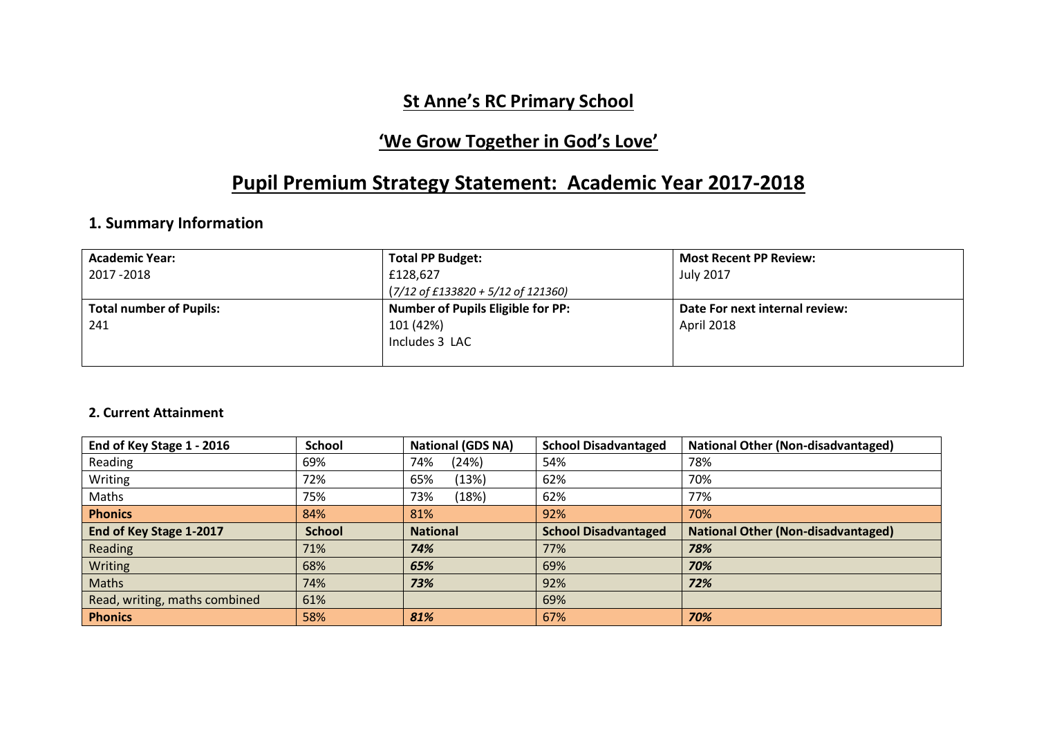## **St Anne's RC Primary School**

## **'We Grow Together in God's Love'**

# **Pupil Premium Strategy Statement: Academic Year 2017-2018**

### **1. Summary Information**

| <b>Academic Year:</b>          | <b>Total PP Budget:</b>                                | <b>Most Recent PP Review:</b>  |
|--------------------------------|--------------------------------------------------------|--------------------------------|
| 2017 - 2018                    | £128,627                                               | <b>July 2017</b>               |
|                                | $(7/12 \text{ of } £133820 + 5/12 \text{ of } 121360)$ |                                |
| <b>Total number of Pupils:</b> | <b>Number of Pupils Eligible for PP:</b>               | Date For next internal review: |
| 241                            | 101 (42%)                                              | April 2018                     |
|                                | Includes 3 LAC                                         |                                |
|                                |                                                        |                                |

#### **2. Current Attainment**

| End of Key Stage 1 - 2016     | <b>School</b> | <b>National (GDS NA)</b> | <b>School Disadvantaged</b> | <b>National Other (Non-disadvantaged)</b> |
|-------------------------------|---------------|--------------------------|-----------------------------|-------------------------------------------|
| Reading                       | 69%           | (24%)<br>74%             | 54%                         | 78%                                       |
| Writing                       | 72%           | 65%<br>(13%)             | 62%                         | 70%                                       |
| Maths                         | 75%           | (18%)<br>73%             | 62%                         | 77%                                       |
| <b>Phonics</b>                | 84%           | 81%                      | 92%                         | 70%                                       |
| End of Key Stage 1-2017       | <b>School</b> | <b>National</b>          | <b>School Disadvantaged</b> | <b>National Other (Non-disadvantaged)</b> |
| Reading                       | 71%           | 74%                      | 77%                         | 78%                                       |
| Writing                       | 68%           | 65%                      | 69%                         | 70%                                       |
| Maths                         | 74%           | 73%                      | 92%                         | 72%                                       |
| Read, writing, maths combined | 61%           |                          | 69%                         |                                           |
| <b>Phonics</b>                | 58%           | 81%                      | 67%                         | 70%                                       |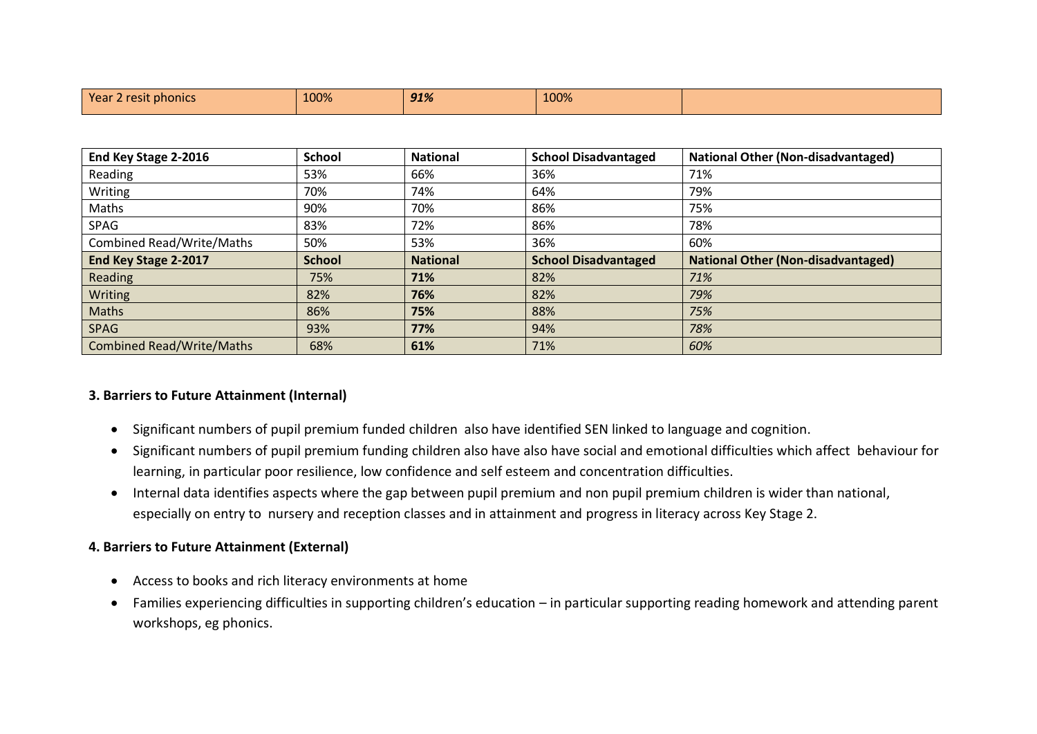| Year 2 resit phonics | 100% | 91% | 100% |  |
|----------------------|------|-----|------|--|
|                      |      |     |      |  |

| End Key Stage 2-2016             | <b>School</b> | <b>National</b> | <b>School Disadvantaged</b> | <b>National Other (Non-disadvantaged)</b> |
|----------------------------------|---------------|-----------------|-----------------------------|-------------------------------------------|
| Reading                          | 53%           | 66%             | 36%                         | 71%                                       |
| Writing                          | 70%           | 74%             | 64%                         | 79%                                       |
| Maths                            | 90%           | 70%             | 86%                         | 75%                                       |
| SPAG                             | 83%           | 72%             | 86%                         | 78%                                       |
| <b>Combined Read/Write/Maths</b> | 50%           | 53%             | 36%                         | 60%                                       |
| End Key Stage 2-2017             | <b>School</b> | <b>National</b> | <b>School Disadvantaged</b> | <b>National Other (Non-disadvantaged)</b> |
| Reading                          | 75%           | 71%             | 82%                         | 71%                                       |
| Writing                          |               |                 |                             |                                           |
|                                  | 82%           | 76%             | 82%                         | 79%                                       |
| Maths                            | 86%           | 75%             | 88%                         | 75%                                       |
| <b>SPAG</b>                      | 93%           | 77%             | 94%                         | 78%                                       |

#### **3. Barriers to Future Attainment (Internal)**

- Significant numbers of pupil premium funded children also have identified SEN linked to language and cognition.
- Significant numbers of pupil premium funding children also have also have social and emotional difficulties which affect behaviour for learning, in particular poor resilience, low confidence and self esteem and concentration difficulties.
- Internal data identifies aspects where the gap between pupil premium and non pupil premium children is wider than national, especially on entry to nursery and reception classes and in attainment and progress in literacy across Key Stage 2.

#### **4. Barriers to Future Attainment (External)**

- Access to books and rich literacy environments at home
- Families experiencing difficulties in supporting children's education in particular supporting reading homework and attending parent workshops, eg phonics.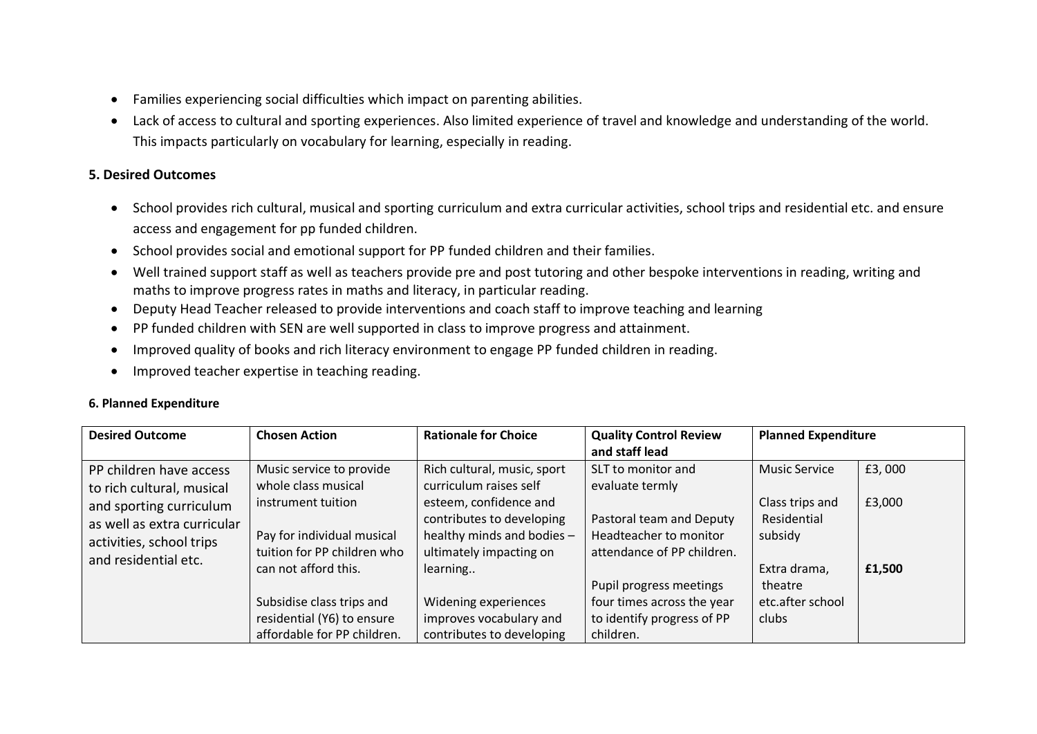- Families experiencing social difficulties which impact on parenting abilities.
- Lack of access to cultural and sporting experiences. Also limited experience of travel and knowledge and understanding of the world. This impacts particularly on vocabulary for learning, especially in reading.

#### **5. Desired Outcomes**

- School provides rich cultural, musical and sporting curriculum and extra curricular activities, school trips and residential etc. and ensure access and engagement for pp funded children.
- School provides social and emotional support for PP funded children and their families.
- Well trained support staff as well as teachers provide pre and post tutoring and other bespoke interventions in reading, writing and maths to improve progress rates in maths and literacy, in particular reading.
- Deputy Head Teacher released to provide interventions and coach staff to improve teaching and learning
- PP funded children with SEN are well supported in class to improve progress and attainment.
- Improved quality of books and rich literacy environment to engage PP funded children in reading.
- Improved teacher expertise in teaching reading.

#### **6. Planned Expenditure**

| <b>Desired Outcome</b>      | <b>Chosen Action</b>        | <b>Rationale for Choice</b> | <b>Quality Control Review</b> | <b>Planned Expenditure</b> |        |
|-----------------------------|-----------------------------|-----------------------------|-------------------------------|----------------------------|--------|
|                             |                             |                             | and staff lead                |                            |        |
| PP children have access     | Music service to provide    | Rich cultural, music, sport | SLT to monitor and            | <b>Music Service</b>       | £3,000 |
| to rich cultural, musical   | whole class musical         | curriculum raises self      | evaluate termly               |                            |        |
| and sporting curriculum     | instrument tuition          | esteem, confidence and      |                               | Class trips and            | £3,000 |
| as well as extra curricular |                             | contributes to developing   | Pastoral team and Deputy      | Residential                |        |
| activities, school trips    | Pay for individual musical  | healthy minds and bodies -  | Headteacher to monitor        | subsidy                    |        |
| and residential etc.        | tuition for PP children who | ultimately impacting on     | attendance of PP children.    |                            |        |
|                             | can not afford this.        | learning                    |                               | Extra drama,               | £1,500 |
|                             |                             |                             | Pupil progress meetings       | theatre                    |        |
|                             | Subsidise class trips and   | Widening experiences        | four times across the year    | etc.after school           |        |
|                             | residential (Y6) to ensure  | improves vocabulary and     | to identify progress of PP    | clubs                      |        |
|                             | affordable for PP children. | contributes to developing   | children.                     |                            |        |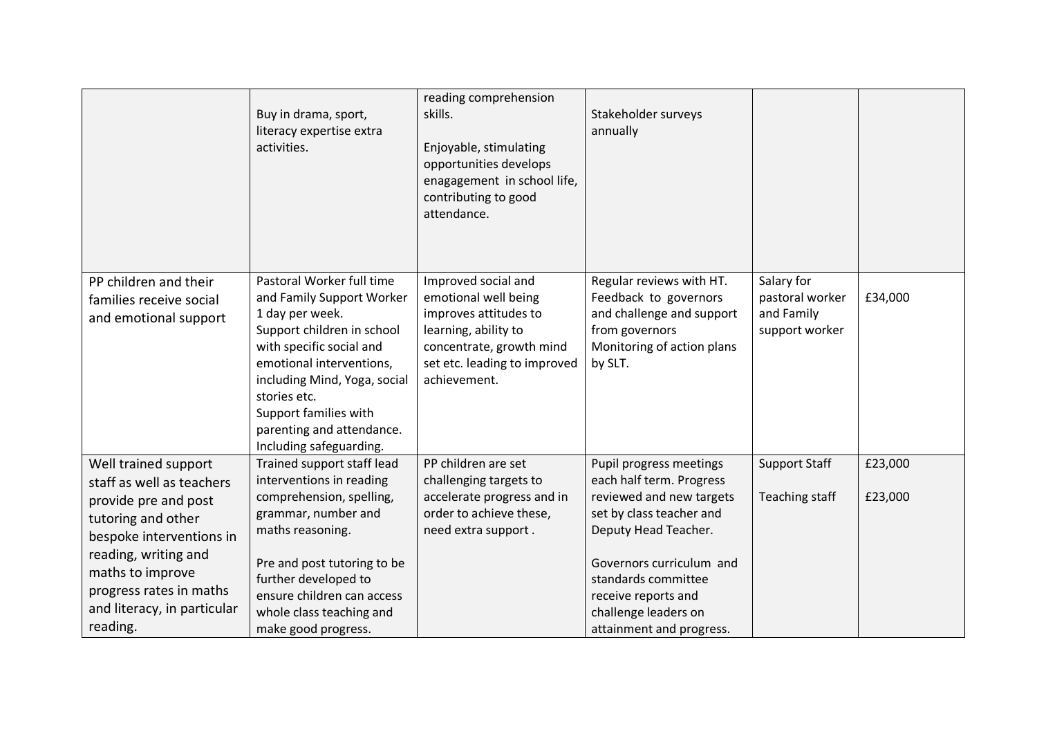|                                                                                                                                                                                                                                               | Buy in drama, sport,<br>literacy expertise extra<br>activities.                                                                                                                                                                                                                                  | reading comprehension<br>skills.<br>Enjoyable, stimulating<br>opportunities develops<br>enagagement in school life,<br>contributing to good<br>attendance.               | Stakeholder surveys<br>annually                                                                                                                                                                                                                                   |                                                               |                    |
|-----------------------------------------------------------------------------------------------------------------------------------------------------------------------------------------------------------------------------------------------|--------------------------------------------------------------------------------------------------------------------------------------------------------------------------------------------------------------------------------------------------------------------------------------------------|--------------------------------------------------------------------------------------------------------------------------------------------------------------------------|-------------------------------------------------------------------------------------------------------------------------------------------------------------------------------------------------------------------------------------------------------------------|---------------------------------------------------------------|--------------------|
| PP children and their<br>families receive social<br>and emotional support                                                                                                                                                                     | Pastoral Worker full time<br>and Family Support Worker<br>1 day per week.<br>Support children in school<br>with specific social and<br>emotional interventions,<br>including Mind, Yoga, social<br>stories etc.<br>Support families with<br>parenting and attendance.<br>Including safeguarding. | Improved social and<br>emotional well being<br>improves attitudes to<br>learning, ability to<br>concentrate, growth mind<br>set etc. leading to improved<br>achievement. | Regular reviews with HT.<br>Feedback to governors<br>and challenge and support<br>from governors<br>Monitoring of action plans<br>by SLT.                                                                                                                         | Salary for<br>pastoral worker<br>and Family<br>support worker | £34,000            |
| Well trained support<br>staff as well as teachers<br>provide pre and post<br>tutoring and other<br>bespoke interventions in<br>reading, writing and<br>maths to improve<br>progress rates in maths<br>and literacy, in particular<br>reading. | Trained support staff lead<br>interventions in reading<br>comprehension, spelling,<br>grammar, number and<br>maths reasoning.<br>Pre and post tutoring to be<br>further developed to<br>ensure children can access<br>whole class teaching and<br>make good progress.                            | PP children are set<br>challenging targets to<br>accelerate progress and in<br>order to achieve these,<br>need extra support.                                            | Pupil progress meetings<br>each half term. Progress<br>reviewed and new targets<br>set by class teacher and<br>Deputy Head Teacher.<br>Governors curriculum and<br>standards committee<br>receive reports and<br>challenge leaders on<br>attainment and progress. | <b>Support Staff</b><br>Teaching staff                        | £23,000<br>£23,000 |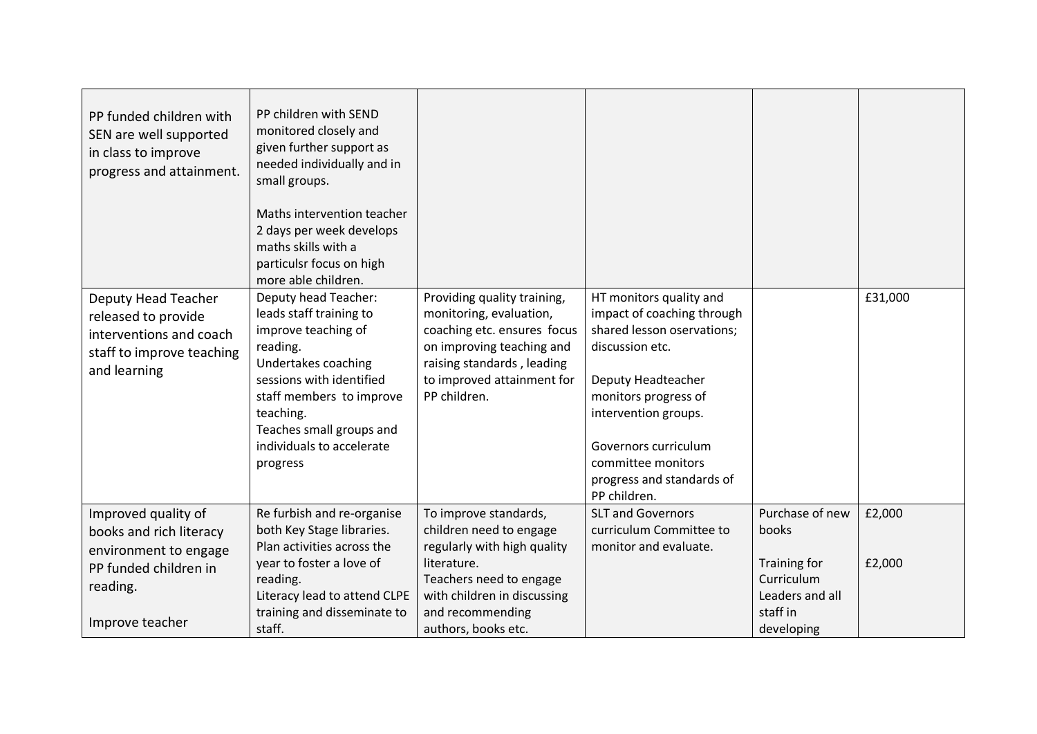| PP funded children with<br>SEN are well supported<br>in class to improve<br>progress and attainment.                            | PP children with SEND<br>monitored closely and<br>given further support as<br>needed individually and in<br>small groups.<br>Maths intervention teacher<br>2 days per week develops<br>maths skills with a<br>particulsr focus on high<br>more able children. |                                                                                                                                                                                                     |                                                                                                                                                                                                                                                                         |                                                                                                     |                  |
|---------------------------------------------------------------------------------------------------------------------------------|---------------------------------------------------------------------------------------------------------------------------------------------------------------------------------------------------------------------------------------------------------------|-----------------------------------------------------------------------------------------------------------------------------------------------------------------------------------------------------|-------------------------------------------------------------------------------------------------------------------------------------------------------------------------------------------------------------------------------------------------------------------------|-----------------------------------------------------------------------------------------------------|------------------|
| Deputy Head Teacher<br>released to provide<br>interventions and coach<br>staff to improve teaching<br>and learning              | Deputy head Teacher:<br>leads staff training to<br>improve teaching of<br>reading.<br>Undertakes coaching<br>sessions with identified<br>staff members to improve<br>teaching.<br>Teaches small groups and<br>individuals to accelerate<br>progress           | Providing quality training,<br>monitoring, evaluation,<br>coaching etc. ensures focus<br>on improving teaching and<br>raising standards, leading<br>to improved attainment for<br>PP children.      | HT monitors quality and<br>impact of coaching through<br>shared lesson oservations;<br>discussion etc.<br>Deputy Headteacher<br>monitors progress of<br>intervention groups.<br>Governors curriculum<br>committee monitors<br>progress and standards of<br>PP children. |                                                                                                     | £31,000          |
| Improved quality of<br>books and rich literacy<br>environment to engage<br>PP funded children in<br>reading.<br>Improve teacher | Re furbish and re-organise<br>both Key Stage libraries.<br>Plan activities across the<br>year to foster a love of<br>reading.<br>Literacy lead to attend CLPE<br>training and disseminate to<br>staff.                                                        | To improve standards,<br>children need to engage<br>regularly with high quality<br>literature.<br>Teachers need to engage<br>with children in discussing<br>and recommending<br>authors, books etc. | <b>SLT and Governors</b><br>curriculum Committee to<br>monitor and evaluate.                                                                                                                                                                                            | Purchase of new<br>books<br>Training for<br>Curriculum<br>Leaders and all<br>staff in<br>developing | £2,000<br>£2,000 |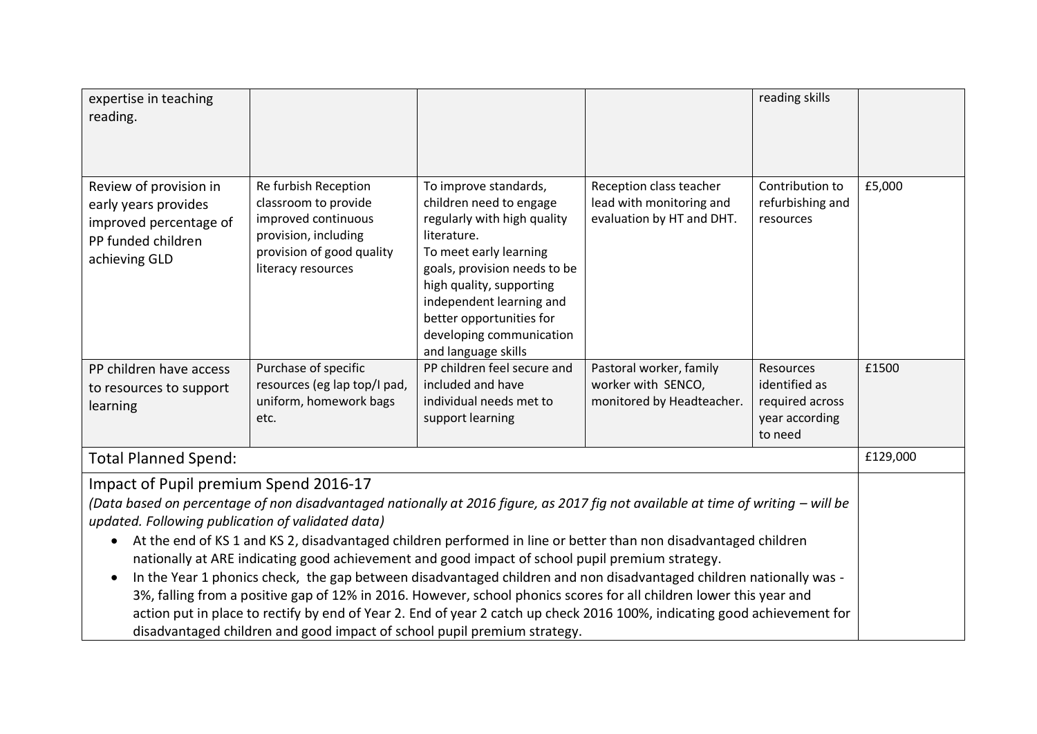| expertise in teaching<br>reading.                                                                                                                                                                                                                                                                                                                                                                                                                                                                                                                                                                                                                                                                                                                                                                                                                                                                                       |                                                                                                                                                |                                                                                                                                                                                                                                                                                                 |                                                                                  | reading skills                                                             |          |
|-------------------------------------------------------------------------------------------------------------------------------------------------------------------------------------------------------------------------------------------------------------------------------------------------------------------------------------------------------------------------------------------------------------------------------------------------------------------------------------------------------------------------------------------------------------------------------------------------------------------------------------------------------------------------------------------------------------------------------------------------------------------------------------------------------------------------------------------------------------------------------------------------------------------------|------------------------------------------------------------------------------------------------------------------------------------------------|-------------------------------------------------------------------------------------------------------------------------------------------------------------------------------------------------------------------------------------------------------------------------------------------------|----------------------------------------------------------------------------------|----------------------------------------------------------------------------|----------|
|                                                                                                                                                                                                                                                                                                                                                                                                                                                                                                                                                                                                                                                                                                                                                                                                                                                                                                                         |                                                                                                                                                |                                                                                                                                                                                                                                                                                                 |                                                                                  |                                                                            |          |
| Review of provision in<br>early years provides<br>improved percentage of<br>PP funded children<br>achieving GLD                                                                                                                                                                                                                                                                                                                                                                                                                                                                                                                                                                                                                                                                                                                                                                                                         | Re furbish Reception<br>classroom to provide<br>improved continuous<br>provision, including<br>provision of good quality<br>literacy resources | To improve standards,<br>children need to engage<br>regularly with high quality<br>literature.<br>To meet early learning<br>goals, provision needs to be<br>high quality, supporting<br>independent learning and<br>better opportunities for<br>developing communication<br>and language skills | Reception class teacher<br>lead with monitoring and<br>evaluation by HT and DHT. | Contribution to<br>refurbishing and<br>resources                           | £5,000   |
| PP children have access<br>to resources to support<br>learning                                                                                                                                                                                                                                                                                                                                                                                                                                                                                                                                                                                                                                                                                                                                                                                                                                                          | Purchase of specific<br>resources (eg lap top/I pad,<br>uniform, homework bags<br>etc.                                                         | PP children feel secure and<br>included and have<br>individual needs met to<br>support learning                                                                                                                                                                                                 | Pastoral worker, family<br>worker with SENCO,<br>monitored by Headteacher.       | Resources<br>identified as<br>required across<br>year according<br>to need | £1500    |
| <b>Total Planned Spend:</b>                                                                                                                                                                                                                                                                                                                                                                                                                                                                                                                                                                                                                                                                                                                                                                                                                                                                                             |                                                                                                                                                |                                                                                                                                                                                                                                                                                                 |                                                                                  |                                                                            | £129,000 |
| Impact of Pupil premium Spend 2016-17<br>(Data based on percentage of non disadvantaged nationally at 2016 figure, as 2017 fig not available at time of writing – will be<br>updated. Following publication of validated data)<br>At the end of KS 1 and KS 2, disadvantaged children performed in line or better than non disadvantaged children<br>$\bullet$<br>nationally at ARE indicating good achievement and good impact of school pupil premium strategy.<br>In the Year 1 phonics check, the gap between disadvantaged children and non disadvantaged children nationally was -<br>3%, falling from a positive gap of 12% in 2016. However, school phonics scores for all children lower this year and<br>action put in place to rectify by end of Year 2. End of year 2 catch up check 2016 100%, indicating good achievement for<br>disadvantaged children and good impact of school pupil premium strategy. |                                                                                                                                                |                                                                                                                                                                                                                                                                                                 |                                                                                  |                                                                            |          |